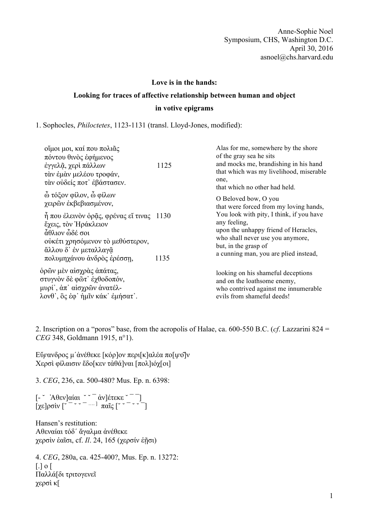Anne-Sophie Noel Symposium, CHS, Washington D.C. April 30, 2016 asnoel@chs.harvard.edu

## **Love is in the hands:**

## **Looking for traces of affective relationship between human and object in votive epigrams**

1. Sophocles, *Philoctetes*, 1123-1131 (transl. Lloyd-Jones, modified):

| οἴμοι μοι, καί που πολιᾶς<br>πόντου θινὸς ἐφήμενος<br>έγγελᾶ, χερὶ πάλλων<br>τὰν ἐμὰν μελέου τροφάν,<br>τάν ούδείς ποτ' έβάστασεν.                                       | 1125         | Alas for me, somewhere by the shore<br>of the gray sea he sits<br>and mocks me, brandishing in his hand<br>that which was my livelihood, miserable<br>one,<br>that which no other had held.                                                                             |
|--------------------------------------------------------------------------------------------------------------------------------------------------------------------------|--------------|-------------------------------------------------------------------------------------------------------------------------------------------------------------------------------------------------------------------------------------------------------------------------|
| ώ τόξον φίλον, ω φίλων<br>γειρών έκβεβιασμένον,                                                                                                                          |              | O Beloved bow, O you<br>that were forced from my loving hands,<br>You look with pity, I think, if you have<br>any feeling,<br>upon the unhappy friend of Heracles,<br>who shall never use you anymore,<br>but, in the grasp of<br>a cunning man, you are plied instead, |
| η που έλεινον οράς, φρένας εί τινας<br>έχεις, τον Ηράκλειον<br>άθλιον ώδέ σοι<br>ούκέτι χρησόμενον τὸ μεθύστερον,<br>άλλου δ' έν μεταλλαγᾶ<br>πολυμηχάνου άνδρος έρέσση, | 1130<br>1135 |                                                                                                                                                                                                                                                                         |
| όρῶν μὲν αἰσχρὰς ἀπάτας,<br>στυγνὸν δὲ φῶτ' ἐχθοδοπόν,<br>μυρί', ἀπ' αἰσχρῶν ἀνατέλ-<br>λονθ', ὃς ἐφ' ἡμῖν κάκ' ἐμήσατ'.                                                 |              | looking on his shameful deceptions<br>and on the loathsome enemy,<br>who contrived against me innumerable<br>evils from shameful deeds!                                                                                                                                 |

2. Inscription on a "poros" base, from the acropolis of Halae, ca. 600-550 B.C. (*cf*. Lazzarini 824 = *CEG* 348, Goldmann 1915, n°1).

Εὔ*ϝ*ανδρος µʹἀνέθεκε [κόρ]ον περι[κ]αλέα πο[ι*ϝ*ο͂]ν Χερσὶ φίλαισιν ἔδο[κεν τἀθά]ναι [πολ]ιόχ[οι]

3. *CEG*, 236, ca. 500-480? Mus. Ep. n. 6398:

[- ˘ ̓Αθεν]αίαι ˘ ˘ ¯ ἀν]έτεκε ˘ ¯ ¯]  $\left[ \chi \varepsilon \right]$ ρσὶν  $\left[ \varepsilon^{-} \right]$   $\sim$   $\left[ -\frac{1}{2} \pi \alpha \tilde{\iota} \zeta \right]$   $\left[ \varepsilon \right]$ 

Hansen's restitution: Αθεναίαι τόδʹ ἄγαλµα ἀνέθεκε χερσὶν ἑαῖσι, cf. *Il*. 24, 165 (χερσίν ἑῇσι)

4. *CEG*, 280a, ca. 425-400?, Mus. Ep. n. 13272: [.] ο [ Παλλά[δι τριτογενεῖ χερσὶ κ[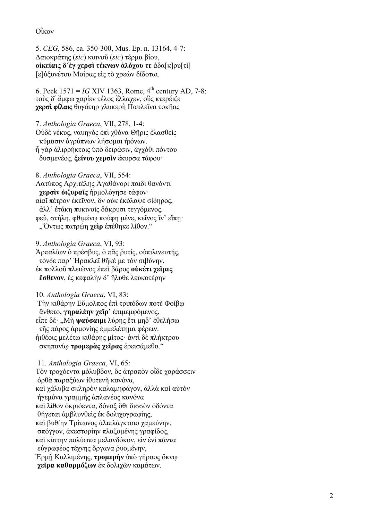## Οἶκον

5. *CEG*, 586, ca. 350 -300, Mus. Ep. n. 13164, 4 -7: Δαιοκράτης (*sic*) κοινοῦ (*sic*) τέρ µ α βίου , **oἰκείαις δʹἐγ χερσὶ τέκνων ἀλόχου τε** ἀδα [ κ ]ρυ [τὶ ] [ ε ]ὐξυνέτου Μοίρας εἰς τὸ χρεὼν δίδοται.

6. Peek  $1571 = IG$  XIV 1363, Rome,  $4^{th}$  century AD, 7-8: τοὺς δʹ ἄ µφω χαρίεν τέλος ἔλλαχεν, οὓς κτερέιζε χερσὶ φίλαις θυγάτηρ γλυκερὴ Παυλεῖνα τοκῆας

7. *Anthologia Graeca*, VII, 278, 1 - 4: Οὐδὲ νέκυς, ναυηγὸς ἐπὶ χθόνα Θῆρις ἐλασθεὶς κύ µασιν ἀγρύπνων λήσο µαι ἠιόνων. ἦ γὰρ ἁλιρρήκτοις ὑπὸ δειράσιν, ἀγχόθι πόντου δυσ µενέος, **ξείνου χερσὶν** ἔκυρσα τάφου·

8. *Anthologia Graeca*, VII, 554: Λατύπος Ἀρχιτέλης Ἀγαθάνορι παιδὶ θανόντι **χερσὶν ὀιζυραῖς** ἡρ µολόγησε τάφον· αἰαῖ πέτρον ἐκεῖνον, ὃν οὐκ ἐκόλαψε σίδηρος, ἀλλ' ἐτάκη πυκινοῖς δάκρυσι τεγγό µενος . φεῦ, στήλη, φθι µένῳ κούφη µένε, κεῖνος ἵν' εἴπῃ· "Ὄντως πατρῴη **χεὶρ** ἐπέθηκε λίθον."

9 . *Anthologia Graeca*, VI, 93: Άρπαλίων ὁ πρέσβυς, ὁ πᾶς ῥυτίς, οὑπιλινευτής, τόνδε παρ' Ἡρακλεῖ θῆκέ µ ε τὸν σιβύνην , ἐκ πολλοῦ πλειῶνος ἐπεὶ βάρος **οὐκέτι χεῖρες ἔσθενον**, ἐς κεφαλὴν δ' ἤλυθε λευκοτέρην

10. *Anthologia Graeca*, VI, 83:

Τὴν κιθάρην Εὔ µολπος ἐπὶ τριπόδων ποτὲ Φοίβῳ ἄνθετο**, γηραλέην χεῖρ' ἐπιμεμφόμενος,** εἶπε δέ· "Μὴ **ψαύσαι µ ι** λύρης ἔτι µηδ' ἐθελήσω τῆς πάρος ἁρ µονίης ἐµµελέτη µ α φέρειν. ἠιθέοις µελέτω κιθάρης µίτος· ἀντὶ δὲ πλήκτρου σκηπανίῳ **τρο µερὰς χεῖρας** ἐρεισά µεθα."

11. *Anthologia Graeca*, VI, 65: Τὸν τροχόεντα µόλυβδον, ὃς ἀτραπὸν οἶδε χαράσσειν ὀρθὰ παραξύων ἰθυτενῆ κανόνα , καὶ χάλυβα σκληρὸν καλα µηφάγον, ἀλλὰ καὶ αὐτὸν ἡγε µόνα γραµµῆς ἀπλανέος κανόνα καὶ λίθον ὀκριόεντα, δόναξ ὅθι δισσὸν ὀδόντα θήγεται ἀ µβλυνθεὶς ἐκ δολιχογραφίης , καὶ βυθίην Τρίτωνος ἁλιπλάγκτοιο χα µεύνην , σπόγγον, ἀκεστορίην πλαζο µένης γραφίδος , καὶ κίστην πολύωπα µελανδόκον, εἰν ἑνὶ πάντα εὐγραφέος τέχνης ὄργανα ῥυο µένην, Ἑρ µ ῇ Καλλι µένης, **τρο µερὴν** ὑπὸ γήραος ὄκνῳ **χεῖρα καθαρ µόζων** ἐκ δολιχῶν κα µάτων .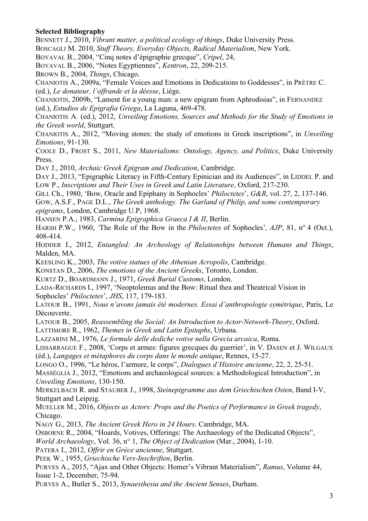## **Selected Bibliography**

BENNETT J., 2010, *Vibrant matter, a political ecology of things*, Duke University Press. BOSCAGLI M. 2010, *Stuff Theory, Everyday Objects, Radical Materialism*, New York.

BOYAVAL B., 2004, "Cinq notes d'épigraphie grecque", *Cripel*, 24,

BOYAVAL B., 2006, "Notes Egyptiennes", *Kentron*, 22, 209-215.

BROWN B., 2004, *Things*, Chicago.

CHANIOTIS A., 2009a, "Female Voices and Emotions in Dedications to Goddesses", in PRÊTRE C. (ed.), *Le donateur, l'offrande et la déesse*, Liège.

CHANIOTIS, 2009b, "Lament for a young man: a new epigram from Aphrodisias", in FERNANDEZ (ed.), *Estudios de Epigrafia Griega*, La Laguna, 469-478.

CHANIOTIS A. (ed.), 2012, *Unveiling Emotions, Sources and Methods for the Study of Emotions in the Greek world*, Stuttgart.

CHANIOTIS A., 2012, "Moving stones: the study of emotions in Greek inscriptions", in *Unveiling Emotions*, 91-130.

COOLE D., FROST S., 2011, *New Materialisms: Ontology, Agency, and Politics*, Duke University Press.

DAY J., 2010, *Archaic Greek Epigram and Dedication*, Cambridge.

DAY J., 2013, "Epigraphic Literacy in Fifth-Century Epinician and its Audiences", in LIDDEL P. and LOW P., *Inscriptions and Their Uses in Greek and Latin Literature*, Oxford, 217-230.

GILL Ch., 1980, 'Bow, Oracle and Epiphany in Sophocles' *Philoctetes*', *G&R*, vol. 27, 2, 137-146. GOW, A.S.F., PAGE D.L., *The Greek anthology. The Garland of Philip, and some contemporary epigrams*, London, Cambridge U.P, 1968.

HANSEN P.A., 1983, *Carmina Epigraphica Graeca I & II*, Berlin.

HARSH P.W., 1960, *'*The Role of the Bow in the *Philoctetes* of Sophocles'*, AJP*, 81, n° 4 (Oct.), 408-414.

HODDER I., 2012, *Entangled: An Archeology of Relationships between Humans and Things*, Malden, MA.

KEESLING K., 2003, *The votive statues of the Athenian Acropolis*, Cambridge.

KONSTAN D., 2006, *The emotions of the Ancient Greeks*, Toronto, London.

KURTZ D., BOARDMANN J., 1971, *Greek Burial Customs*, London.

LADA-RICHARDS I., 1997, 'Neoptolemus and the Bow: Ritual thea and Theatrical Vision in Sophocles' *Philoctetes*', *JHS*, 117, 179-183.

LATOUR B., 1991, *Nous n'avons jamais été modernes. Essai d'anthropologie symétrique*, Paris, Le Découverte.

LATOUR B., 2005, *Reassembling the Social: An Introduction to Actor-Network-Theory*, Oxford.

LATTIMORE R., 1962, *Themes in Greek and Latin Epitaphs*, Urbana.

LAZZARINI M., 1976, *Le formule delle dediche votive nella Grecia arcaica*, Roma.

LISSARRAGUE F., 2008, 'Corps et armes: figures grecques du guerrier', in V. DASEN et J. WILGAUX (éd.), *Langages et métaphores du corps dans le monde antique*, Rennes, 15-27.

LONGO O., 1996, "Le héros, l'armure, le corps", *Dialogues d'Histoire ancienne*, 22, 2, 25-51.

MASSÉGLIA J., 2012, "Emotions and archaeological sources: a Methodological Introduction", in *Unveiling Emotions*, 130-150.

MERKELBACH R. and STAUBER J., 1998, *Steinepigramme aus dem Griechischen Osten*, Band I-V, Stuttgart and Leipzig.

MUELLER M., 2016, *Objects as Actors: Props and the Poetics of Performance in Greek tragedy*, Chicago.

NAGY G., 2013, *The Ancient Greek Hero in 24 Hours*. Cambridge, MA.

OSBORNE R., 2004, "Hoards, Votives, Offerings: The Archaeology of the Dedicated Objects",

*World Archaeology*, Vol. 36, n° 1, *The Object of Dedication* (Mar., 2004), 1-10.

PATERA I., 2012, *Offrir en Grèce ancienne*, Stuttgart.

PEEK W., 1955, *Griechische Vers-Inschriften*, Berlin.

PURVES A., 2015, "Ajax and Other Objects: Homer's Vibrant Materialism", *Ramus*, Volume 44, Issue 1-2, December, 75-94.

PURVES A., Butler S., 2013, *Synaesthesia and the Ancient Senses*, Durham.